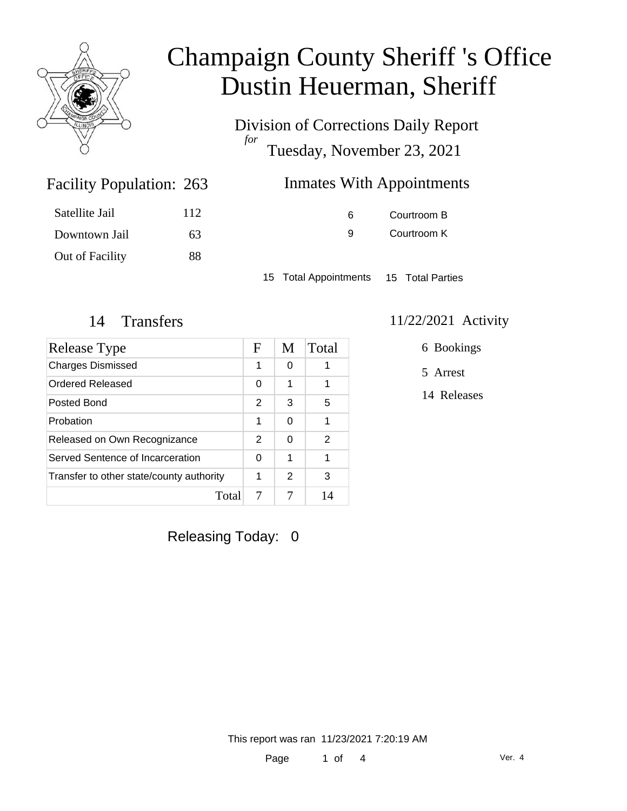

Division of Corrections Daily Report *for* Tuesday, November 23, 2021

| 263 | <b>Inmates With Appointments</b> |
|-----|----------------------------------|
|-----|----------------------------------|

| Satellite Jail  | 112 |
|-----------------|-----|
| Downtown Jail   | 63  |
| Out of Facility | 88  |

Facility Population: 263

6 Courtroom B 9 Courtroom K

15 Total Appointments 15 Total Parties

#### 14 Transfers 11/22/2021 Activity

| Release Type                             |   | M        | Total |
|------------------------------------------|---|----------|-------|
| <b>Charges Dismissed</b>                 | 1 | 0        |       |
| Ordered Released                         |   | 1        | 1     |
| Posted Bond                              | 2 | 3        | 5     |
| Probation                                | 1 | $\Omega$ | 1     |
| Released on Own Recognizance             |   | 0        | 2     |
| Served Sentence of Incarceration         |   | 1        | 1     |
| Transfer to other state/county authority | 1 | 2        | 3     |
| Total                                    |   |          | 14    |

6 Bookings

5 Arrest

14 Releases

Releasing Today: 0

This report was ran 11/23/2021 7:20:19 AM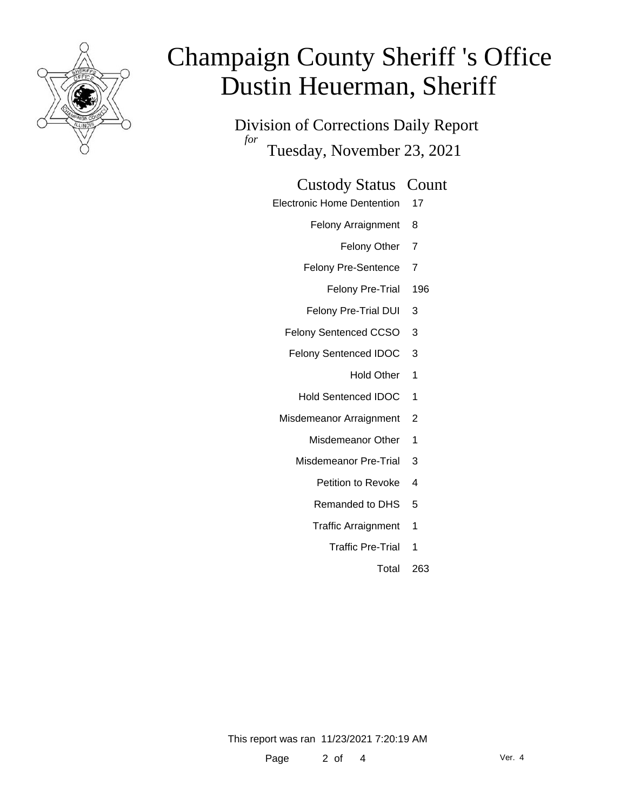

Division of Corrections Daily Report *for* Tuesday, November 23, 2021

#### Custody Status Count

- Electronic Home Dentention 17
	- Felony Arraignment 8
		- Felony Other 7
	- Felony Pre-Sentence 7
		- Felony Pre-Trial 196
	- Felony Pre-Trial DUI 3
	- Felony Sentenced CCSO 3
	- Felony Sentenced IDOC 3
		- Hold Other 1
		- Hold Sentenced IDOC 1
	- Misdemeanor Arraignment 2
		- Misdemeanor Other 1
		- Misdemeanor Pre-Trial 3
			- Petition to Revoke 4
			- Remanded to DHS 5
			- Traffic Arraignment 1
				- Traffic Pre-Trial 1
					- Total 263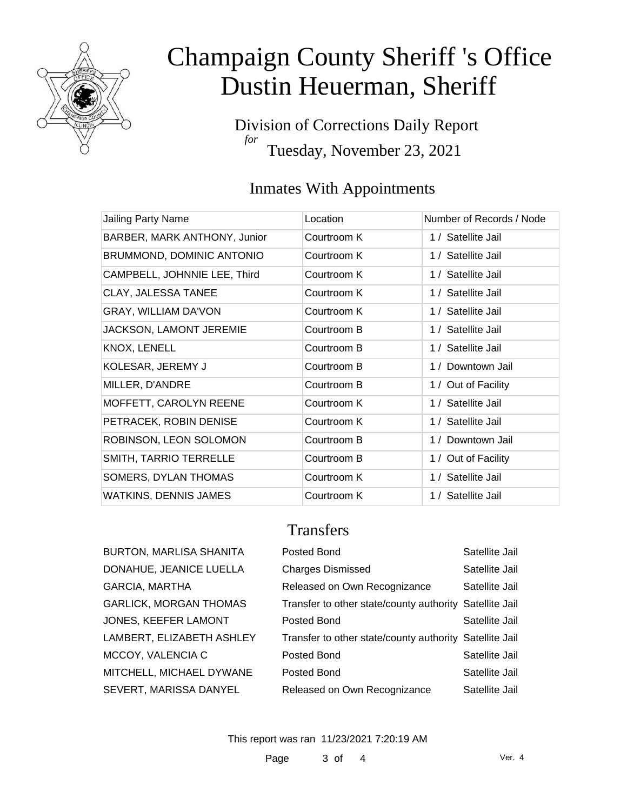

Division of Corrections Daily Report *for* Tuesday, November 23, 2021

### Inmates With Appointments

| Jailing Party Name           | Location    | Number of Records / Node |
|------------------------------|-------------|--------------------------|
| BARBER, MARK ANTHONY, Junior | Courtroom K | 1 / Satellite Jail       |
| BRUMMOND, DOMINIC ANTONIO    | Courtroom K | 1 / Satellite Jail       |
| CAMPBELL, JOHNNIE LEE, Third | Courtroom K | 1 / Satellite Jail       |
| CLAY, JALESSA TANEE          | Courtroom K | 1 / Satellite Jail       |
| GRAY, WILLIAM DA'VON         | Courtroom K | 1 / Satellite Jail       |
| JACKSON, LAMONT JEREMIE      | Courtroom B | 1 / Satellite Jail       |
| KNOX, LENELL                 | Courtroom B | 1 / Satellite Jail       |
| KOLESAR, JEREMY J            | Courtroom B | 1 / Downtown Jail        |
| MILLER, D'ANDRE              | Courtroom B | 1 / Out of Facility      |
| MOFFETT, CAROLYN REENE       | Courtroom K | 1 / Satellite Jail       |
| PETRACEK, ROBIN DENISE       | Courtroom K | 1 / Satellite Jail       |
| ROBINSON, LEON SOLOMON       | Courtroom B | 1 / Downtown Jail        |
| SMITH, TARRIO TERRELLE       | Courtroom B | 1 / Out of Facility      |
| SOMERS, DYLAN THOMAS         | Courtroom K | 1 / Satellite Jail       |
| <b>WATKINS, DENNIS JAMES</b> | Courtroom K | 1 / Satellite Jail       |

### **Transfers**

| <b>BURTON, MARLISA SHANITA</b> |
|--------------------------------|
| DONAHUE, JEANICE LUELLA        |
| <b>GARCIA, MARTHA</b>          |
| <b>GARLICK, MORGAN THOMAS</b>  |
| JONES, KEEFER LAMONT           |
| LAMBERT, ELIZABETH ASHLEY      |
| MCCOY, VALENCIA C              |
| MITCHELL, MICHAEL DYWANE       |
| SEVERT, MARISSA DANYEL         |

| BURTON, MARLISA SHANITA   | Posted Bond                                             | Satellite Jail |
|---------------------------|---------------------------------------------------------|----------------|
| DONAHUE, JEANICE LUELLA   | <b>Charges Dismissed</b>                                | Satellite Jail |
| GARCIA, MARTHA            | Released on Own Recognizance                            | Satellite Jail |
| GARLICK, MORGAN THOMAS    | Transfer to other state/county authority Satellite Jail |                |
| JONES, KEEFER LAMONT      | Posted Bond                                             | Satellite Jail |
| LAMBERT, ELIZABETH ASHLEY | Transfer to other state/county authority Satellite Jail |                |
| MCCOY, VALENCIA C         | Posted Bond                                             | Satellite Jail |
| MITCHELL, MICHAEL DYWANE  | Posted Bond                                             | Satellite Jail |
| SEVERT, MARISSA DANYEL    | Released on Own Recognizance                            | Satellite Jail |

This report was ran 11/23/2021 7:20:19 AM